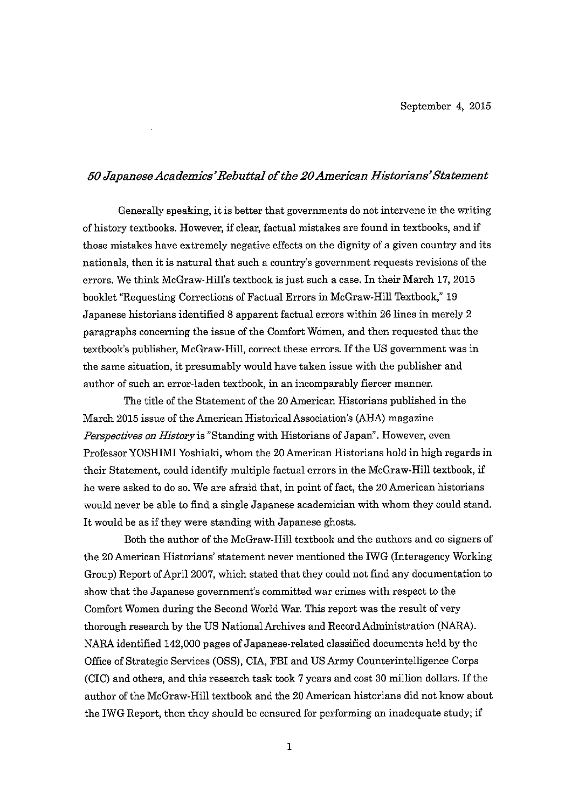### 50 Japanese Academics' Rebuttal of the 20 American Historians' Statement

Generally speaking, it is better that governments do not intervene in the writing of history textbooks. However, if clear, factual mistakes are found in textbooks, and if those mistakes have extremely negative effects on the dignity of a given country and its nationals, then it is natural that such a country's government requests revisions of the errors. We think McGraw-Hill's textbook is just such a case. In their March 17, 2015 booklet "Requesting Corrections of Factual Errors in McGraw-Hill Textbook," 19 Japanese historians identified 8 apparent factual errors within 26 lines in merely 2 paragraphs concerning the issue of the Comfort Women, and then requested that the textbook's publisher, McGraw-Hill, correct these errors. If the US government was in the same situation, it presumably would have taken issue with the publisher and author of such an error-laden textbook, in an incomparably fiercer manner.

The title of the Statement of the 20 American Historians published in the March 2015 issue of the American Historical Association's (AHA) magazine Perspectives on History is "Standing with Historians of Japan". However, even Professor YOSHIMI Yoshiaki, whom the 20 American Historians hold in high regards in their Statement, could identify multiple factual errors in the McGraw-Hill textbook, if he were asked to do so. We are afraid that, in point of fact, the 20 American historians would never be able to find a single Japanese academician with whom they could stand. It would be as if they were standing with Japanese ghosts.

Both the author of the McGraw-Hill textbook and the authors and co-signers of the 20 American Historians' statement never mentioned the IWG (Interagency Working Group) Report of April 2007, which stated that they could not find any documentation to show that the Japanese government's committed war crimes with respect to the Comfort Women during the Second World War. This report was the result of very thorough research by the US National Archives and Record Administration (NARA). NARA identified 142,000 pages of Japanese-related classified documents held by the Office of Strategic Services (OSS), CIA, FBI and US Army Counterintelligence Corps (CIC) and others, and this research task took 7 years and cost 30 million dollars. If the author of the McGraw-Hill textbook and the 20 American historians did not know about the IWG Report, then they should be censured for performing an inadequate study; if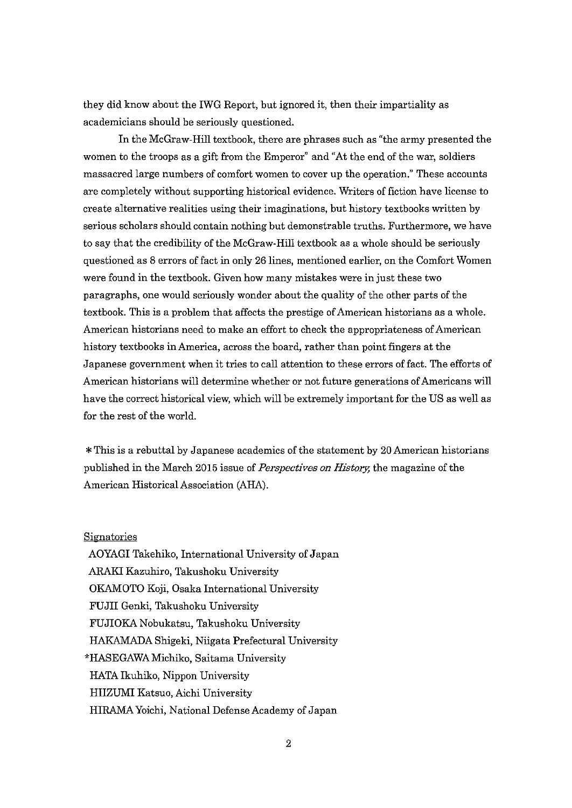they did know about the IWG Report, but ignored it, then their impartiality as academicians should be seriously questioned.

In the McGraw-Hill textbook, there are phrases such as "the army presented the women to the troops as a gift from the Emperor" and "At the end of the war, soldiers massacred large numbers of comfort women to cover up the operation." These accounts are completely without supporting historical evidence. Writers of fiction have license to create alternative realities using their imaginations, but history textbooks written by serious scholars should contain nothing but demonstrable truths. Furthermore, we have to say that the credibility of the McGraw-Hill textbook as a whole should be seriously questioned as 8 errors of fact in only 26 lines, mentioned earlier, on the Comfort Women were found in the textbook. Given how many mistakes were in just these two paragraphs, one would seriously wonder about the quality of the other parts of the textbook. This is a problem that affects the prestige of American historians as a whole. American historians need to make an effort to check the appropriateness of American history textbooks in America, across the board, rather than point fingers at the Japanese government when it tries to call attention to these errors of fact. The efforts of American historians will determine whether or not future generations of Americans will have the correct historical view, which will be extremely important for the US as well as for the rest of the world.

\* This is a rebuttal by Japanese academics of the statement by 20 American historians published in the March 2015 issue of *Perspectives on History*, the magazine of the American Historical Association (AHA).

#### Signatories

AOYAGI Takehiko, International University of Japan ARAKI Kazuhiro, Takushoku University OKAMOTO Koji, Osaka International University FUJII Genki, Takushoku University FUJIOKA Nobukatsu, Takushoku University HAKAMADA Shigeki, Niigata Prefectural University \*HASEGAWA Michiko, Saitama University HATA Ikuhiko, Nippon University HIIZUMI Katsuo, Aichi University HIRAMA Yoichi, National Defense Academy of Japan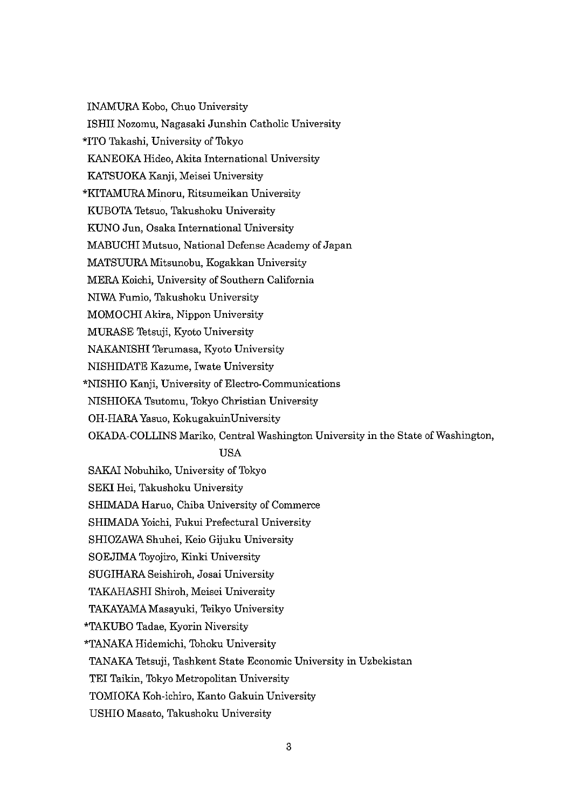INAMURA Kobo, Chuo University ISHII Nozomu, Nagasaki Junshin Catholic University \*ITO Takashi, University of Tokyo KANEOKA Hideo, Akita International University KATSUOKA Kanji, Meisei University \*KITAMURA Minoru, Ritsumeikan University KUBOTA Tetsuo, Takushoku University KUNO Jun, Osaka International University MABUCHI Mutsuo, National Defense Academy of Japan MATSUURA Mitsunobu, Kogakkan University MERA Koichi, University of Southern California NIWAFumio,TakushokuUniversity MOMOCHI Akira, Nippon University MURASE Tetsuji, Kyoto University NAKANISHI Terumasa, Kyoto University NISHIDATE Kazume, Iwate University \*NISHIO Kanji, University of Electro-Communications NISHIOKATsutomu,TokyoChristianUniversity OH-HARA Yasuo, KokugakuinUniversity OKADA-COLLINS Mariko, Central Washington University in the State of Washington, USA SAKAI Nobuhiko, University of Tokyo SEKI Hei. Takushoku University SHIMADA Haruo, Chiba University of Commerce SHIMADA Yoichi, Fukui Prefectural University SHIOZAWA Shuhei, Keio Gijuku University SOEJIMA Toyojiro, Kinki University SUGIHARA Seishiroh, Josai University TAKAHASHI Shiroh, Meisei University TAKAYAMA Masayuki, Teikyo University \*TAKUBO Tadae, Kyorin Niversity \*TANAKAHidemichi,TohokuUniversity TANAKA Tetsuji, Tashkent State Economic University in Uzbekistan

TEI Taikin, Tokyo Metropolitan University

TOMIOKA Koh-ichiro, Kanto Gakuin University

USHIO Masato, Takushoku University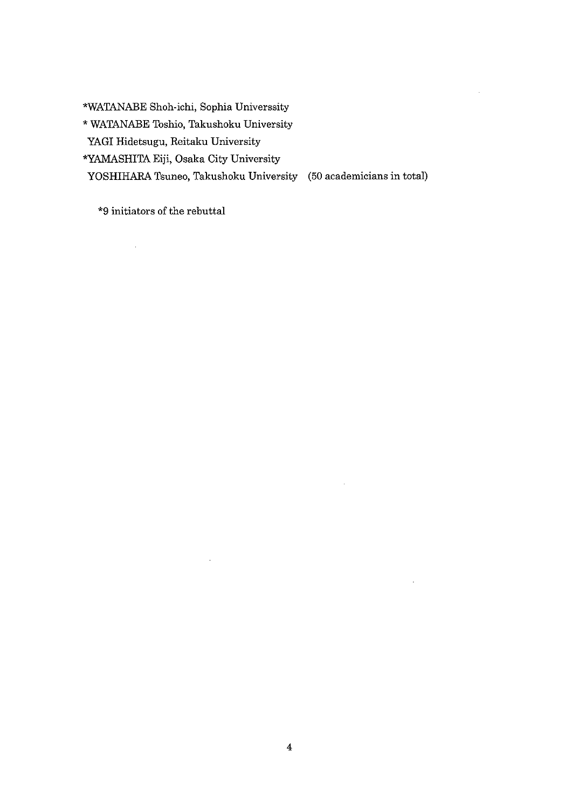\*WATANABE Shoh-ichi, Sophia Universsity

\* WATANABE Toshio, Takushoku University

YAGI Hidetsugu, Reitaku University

\*YAMASHITA Eiji, Osaka City University

 $\mathcal{A}^{\mathcal{A}}$ 

YOSHIHARA Tsuneo, Takushoku University (50 academicians in total)

\*9 initiators of the rebuttal

 $\hat{\mathcal{A}}$ 

 $\bar{.}$ 

J.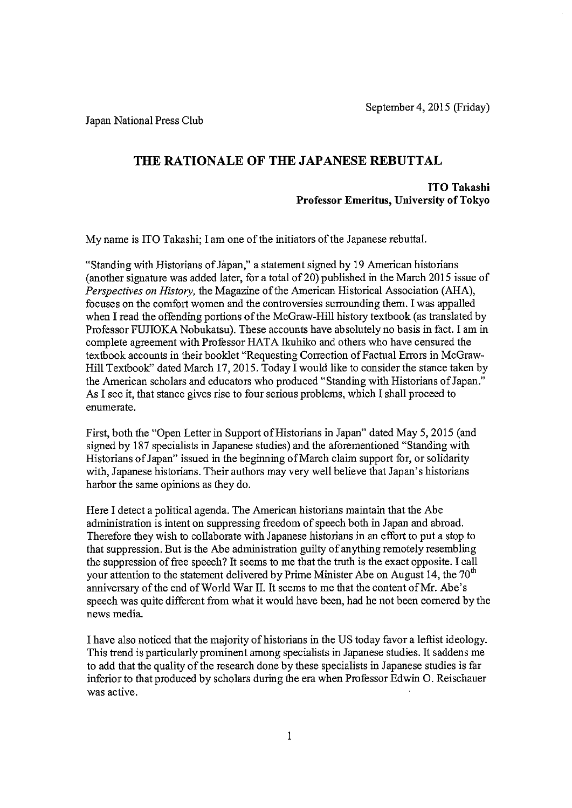Japan National Press Club

# THE RATIONALE OF THE JAPANESE REBUTTAL

### **ITO Takashi** Professor Emeritus, University of Tokyo

My name is ITO Takashi; I am one of the initiators of the Japanese rebuttal.

"Standing with Historians of Japan," a statement signed by 19 American historians (another signature was added later, for a total of 20) published in the March 2015 issue of Perspectives on History, the Magazine of the American Historical Association (AHA), focuses on the comfort women and the controversies surrounding them. I was appalled when I read the offending portions of the McGraw-Hill history textbook (as translated by Professor FUJIOKA Nobukatsu). These accounts have absolutely no basis in fact. I am in complete agreement with Professor HATA Ikuhiko and others who have censured the textbook accounts in their booklet "Requesting Correction of Factual Errors in McGraw-Hill Textbook" dated March 17, 2015. Today I would like to consider the stance taken by the American scholars and educators who produced "Standing with Historians of Japan." As I see it, that stance gives rise to four serious problems, which I shall proceed to enumerate.

First, both the "Open Letter in Support of Historians in Japan" dated May 5, 2015 (and signed by 187 specialists in Japanese studies) and the aforementioned "Standing with Historians of Japan" issued in the beginning of March claim support for, or solidarity with, Japanese historians. Their authors may very well believe that Japan's historians harbor the same opinions as they do.

Here I detect a political agenda. The American historians maintain that the Abe administration is intent on suppressing freedom of speech both in Japan and abroad. Therefore they wish to collaborate with Japanese historians in an effort to put a stop to that suppression. But is the Abe administration guilty of anything remotely resembling the suppression of free speech? It seems to me that the truth is the exact opposite. I call your attention to the statement delivered by Prime Minister Abe on August 14, the 70<sup>th</sup> anniversary of the end of World War II. It seems to me that the content of Mr. Abe's speech was quite different from what it would have been, had he not been cornered by the news media.

I have also noticed that the majority of historians in the US today favor a leftist ideology. This trend is particularly prominent among specialists in Japanese studies. It saddens me to add that the quality of the research done by these specialists in Japanese studies is far inferior to that produced by scholars during the era when Professor Edwin O. Reischauer was active.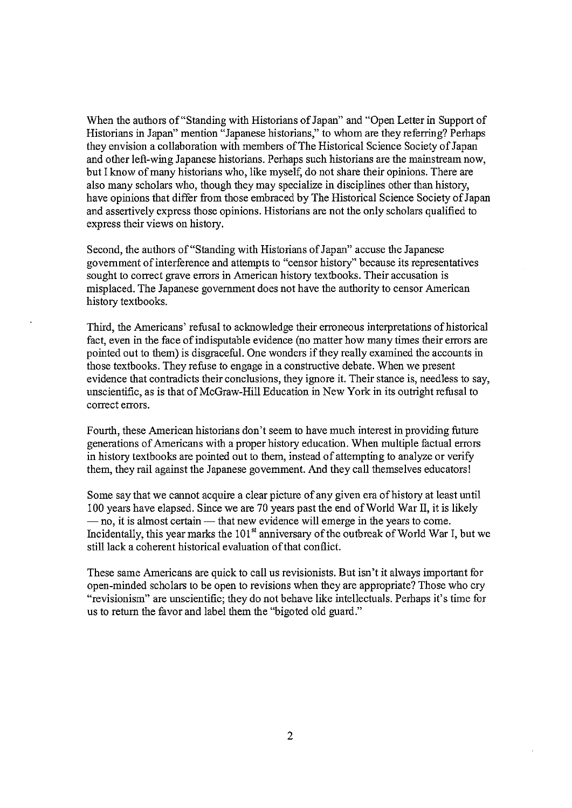When the authors of "Standing with Historians of Japan" and "Open Letter in Support of Historians in Japan" mention "Japanese historians," to whom are they referring? Perhaps they envision a collaboration with members of The Historical Science Society of Japan and other left-wing Japanese historians. Perhaps such historians are the mainstream now, but I know of many historians who, like myself, do not share their opinions. There are also many scholars who, though they may specialize in disciplines other than history, have opinions that differ from those embraced by The Historical Science Society of Japan and assertively express those opinions. Historians are not the only scholars qualified to express their views on history.

Second, the authors of "Standing with Historians of Japan" accuse the Japanese government of interference and attempts to "censor history" because its representatives sought to correct grave errors in American history textbooks. Their accusation is misplaced. The Japanese government does not have the authority to censor American history textbooks.

Third, the Americans' refusal to acknowledge their erroneous interpretations of historical fact, even in the face of indisputable evidence (no matter how many times their errors are pointed out to them) is disgraceful. One wonders if they really examined the accounts in those textbooks. They refuse to engage in a constructive debate. When we present evidence that contradicts their conclusions, they ignore it. Their stance is, needless to say, unscientific, as is that of McGraw-Hill Education in New York in its outright refusal to correct errors.

Fourth, these American historians don't seem to have much interest in providing future generations of Americans with a proper history education. When multiple factual errors in history textbooks are pointed out to them, instead of attempting to analyze or verify them, they rail against the Japanese government. And they call themselves educators!

Some say that we cannot acquire a clear picture of any given era of history at least until 100 years have elapsed. Since we are 70 years past the end of World War II, it is likely - no, it is almost certain - that new evidence will emerge in the years to come. Incidentally, this year marks the 101<sup>st</sup> anniversary of the outbreak of World War I, but we still lack a coherent historical evaluation of that conflict.

These same Americans are quick to call us revisionists. But isn't it always important for open-minded scholars to be open to revisions when they are appropriate? Those who cry "revisionism" are unscientific; they do not behave like intellectuals. Perhaps it's time for us to return the favor and label them the "bigoted old guard."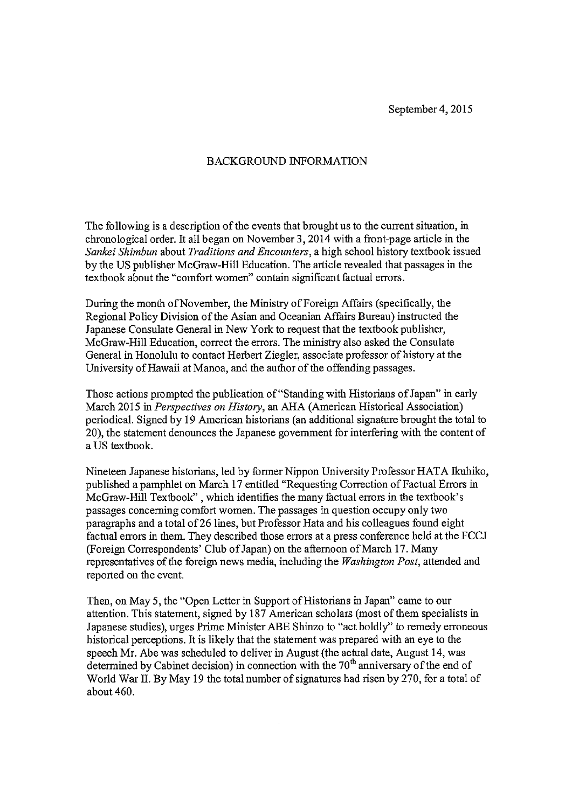### **BACKGROUND INFORMATION**

The following is a description of the events that brought us to the current situation, in chronological order. It all began on November 3, 2014 with a front-page article in the Sankei Shimbun about Traditions and Encounters, a high school history textbook issued by the US publisher McGraw-Hill Education. The article revealed that passages in the textbook about the "comfort women" contain significant factual errors.

During the month of November, the Ministry of Foreign Affairs (specifically, the Regional Policy Division of the Asian and Oceanian Affairs Bureau) instructed the Japanese Consulate General in New York to request that the textbook publisher. McGraw-Hill Education, correct the errors. The ministry also asked the Consulate General in Honolulu to contact Herbert Ziegler, associate professor of history at the University of Hawaii at Manoa, and the author of the offending passages.

Those actions prompted the publication of "Standing with Historians of Japan" in early March 2015 in Perspectives on History, an AHA (American Historical Association) periodical. Signed by 19 American historians (an additional signature brought the total to 20), the statement denounces the Japanese government for interfering with the content of a US textbook.

Nineteen Japanese historians, led by former Nippon University Professor HATA Ikuhiko, published a pamphlet on March 17 entitled "Requesting Correction of Factual Errors in McGraw-Hill Textbook", which identifies the many factual errors in the textbook's passages concerning comfort women. The passages in question occupy only two paragraphs and a total of 26 lines, but Professor Hata and his colleagues found eight factual errors in them. They described those errors at a press conference held at the FCCJ (Foreign Correspondents' Club of Japan) on the afternoon of March 17. Many representatives of the foreign news media, including the Washington Post, attended and reported on the event.

Then, on May 5, the "Open Letter in Support of Historians in Japan" came to our attention. This statement, signed by 187 American scholars (most of them specialists in Japanese studies), urges Prime Minister ABE Shinzo to "act boldly" to remedy erroneous historical perceptions. It is likely that the statement was prepared with an eye to the speech Mr. Abe was scheduled to deliver in August (the actual date, August 14, was determined by Cabinet decision) in connection with the 70<sup>th</sup> anniversary of the end of World War II. By May 19 the total number of signatures had risen by 270, for a total of about 460.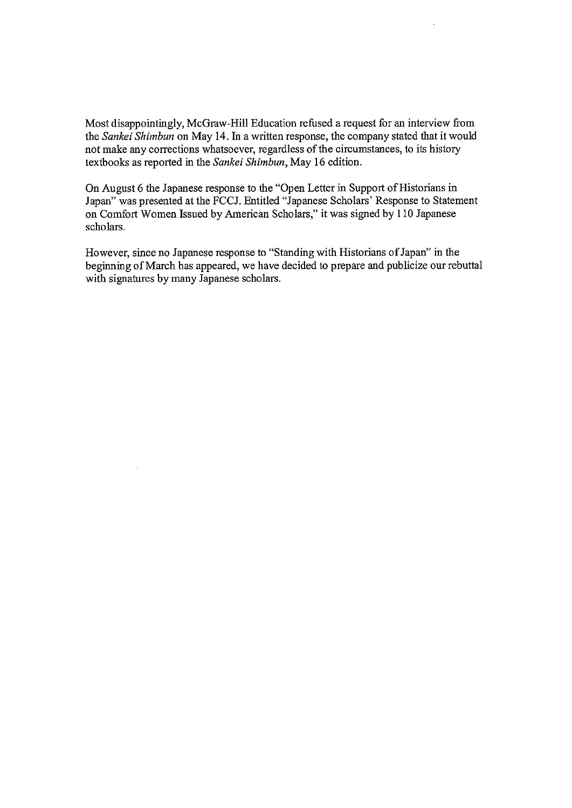Most disappointingly, McGraw-Hill Education refused a request for an interview from the Sankei Shimbun on May 14. In a written response, the company stated that it would not make any corrections whatsoever, regardless of the circumstances, to its history textbooks as reported in the Sankei Shimbun, May 16 edition.

On August 6 the Japanese response to the "Open Letter in Support of Historians in Japan" was presented at the FCCJ. Entitled "Japanese Scholars' Response to Statement on Comfort Women Issued by American Scholars," it was signed by 110 Japanese scholars.

However, since no Japanese response to "Standing with Historians of Japan" in the beginning of March has appeared, we have decided to prepare and publicize our rebuttal with signatures by many Japanese scholars.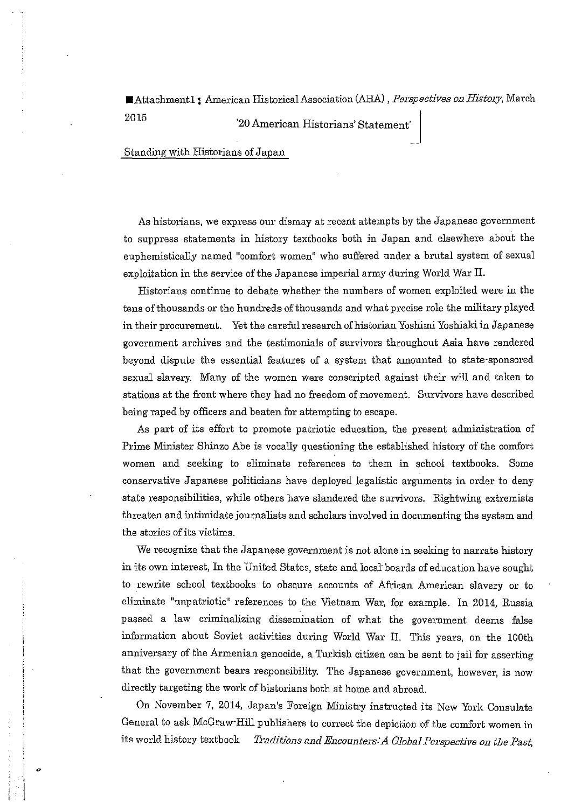■Attachment1; American Historical Association (AHA), Perspectives on History, March

2015

'20 American Historians' Statement'

Standing with Historians of Japan

As historians, we express our dismay at recent attempts by the Japanese government to suppress statements in history textbooks both in Japan and elsewhere about the euphemistically named "comfort women" who suffered under a brutal system of sexual exploitation in the service of the Japanese imperial army during World War II.

Historians continue to debate whether the numbers of women exploited were in the tens of thousands or the hundreds of thousands and what precise role the military played in their procurement. Yet the careful research of historian Yoshimi Yoshiaki in Japanese government archives and the testimonials of survivors throughout Asia have rendered beyond dispute the essential features of a system that amounted to state-sponsored sexual slavery. Many of the women were conscripted against their will and taken to stations at the front where they had no freedom of movement. Survivors have described being raped by officers and beaten for attempting to escape.

As part of its effort to promote patriotic education, the present administration of Prime Minister Shinzo Abe is vocally questioning the established history of the comfort women and seeking to eliminate references to them in school textbooks. Some conservative Japanese politicians have deployed legalistic arguments in order to deny state responsibilities, while others have slandered the survivors. Rightwing extremists threaten and intimidate journalists and scholars involved in documenting the system and the stories of its victims.

We recognize that the Japanese government is not alone in seeking to narrate history in its own interest, In the United States, state and local boards of education have sought to rewrite school textbooks to obscure accounts of African American slavery or to eliminate "unpatriotic" references to the Vietnam War, for example. In 2014, Russia passed a law criminalizing dissemination of what the government deems false information about Soviet activities during World War II. This years, on the 100th anniversary of the Armenian genocide, a Turkish citizen can be sent to jail for asserting that the government bears responsibility. The Japanese government, however, is now directly targeting the work of historians both at home and abroad.

On November 7, 2014, Japan's Foreign Ministry instructed its New York Consulate General to ask McGraw Hill publishers to correct the depiction of the comfort women in its world history textbook Traditions and Encounters: A Global Perspective on the Past,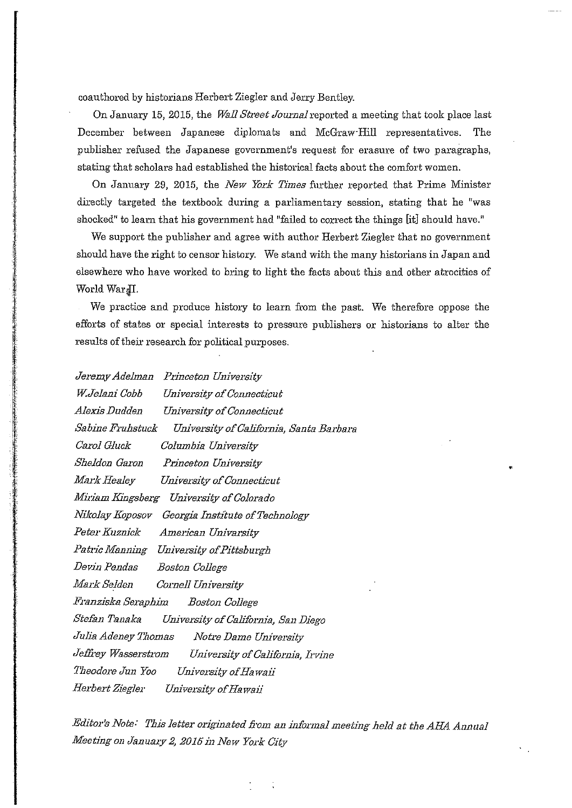coauthored by historians Herbert Ziegler and Jerry Bentley.

On January 15, 2015, the Wall Street Journal reported a meeting that took place last December between Japanese diplomats and McGraw-Hill representatives. The publisher refused the Japanese government's request for erasure of two paragraphs, stating that scholars had established the historical facts about the comfort women,

On January 29, 2015, the New York Times further reported that Prime Minister directly targeted the textbook during a parliamentary session, stating that he "was shocked" to learn that his government had "failed to correct the things [it] should have."

We support the publisher and agree with author Herbert Ziegler that no government should have the right to censor history. We stand with the many historians in Japan and elsewhere who have worked to bring to light the facts about this and other atrocities of World WardI.

We practice and produce history to learn from the past. We therefore oppose the efforts of states or special interests to pressure publishers or historians to alter the results of their research for political purposes.

| Jeremy Adelman Princeton University                        |
|------------------------------------------------------------|
| W.Jelani Cobb<br>University of Connecticut                 |
| Alexis Dudden         University of Connecticut            |
| Sabine Fruhstuck — University of California, Santa Barbara |
| Carol Gluck<br>Columbia University                         |
| Sheldon Garon       Princeton University                   |
| Mark Healey          University of Connecticut             |
| Miriam Kingsberg – University of Colorado                  |
| Nikolay Koposov – Georgia Institute of Technology          |
| Peter Kuznick American Univarsity                          |
| Patric Manning    University of Pittsburgh                 |
| Devin Pendas Boston College                                |
| Mark Selden        Cornell University                      |
| Franziska Seraphim Boston College                          |
| Stefan Tanaka       University of California, San Diego    |
| Julia Adeney Thomas       Notre Dame University            |
| Jeffrey Wasserstrom       University of California, Irvine |
| Theodore Jun Yoo       University of Hawaii                |
| Herbert Ziegler        University of Hawaii                |

Editor's Note: This letter originated from an informal meeting held at the AHA Annual Meeting on January 2, 2015 in New York City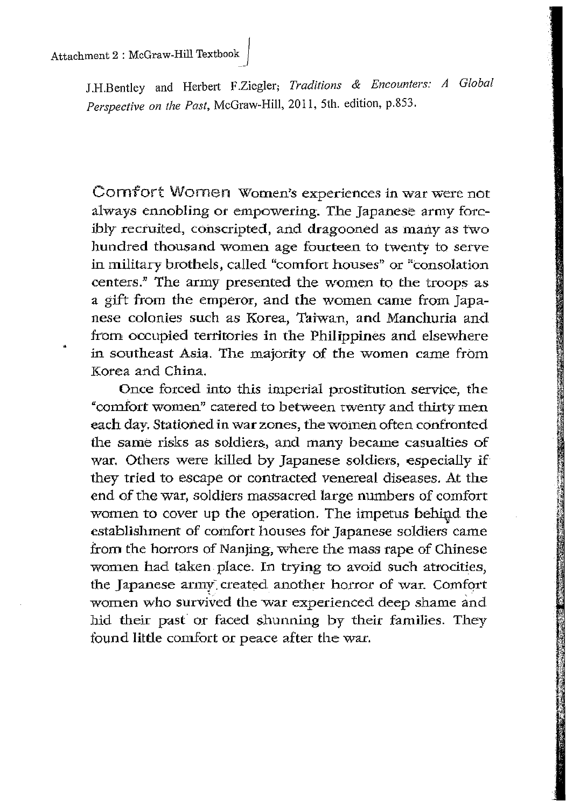J.H.Bentley and Herbert F.Ziegler; Traditions & Encounters: A Global Perspective on the Past, McGraw-Hill, 2011, 5th. edition, p.853.

Comfort Women Women's experiences in war were not always ennobling or empowering. The Japanese army forcibly recruited, conscripted, and dragooned as many as two hundred thousand women age fourteen to twenty to serve in military brothels, called "comfort houses" or "consolation centers." The army presented the women to the troops as a gift from the emperor, and the women came from Japanese colonies such as Korea, Taiwan, and Manchuria and from occupied territories in the Philippines and elsewhere in southeast Asia. The majority of the women came from Korea and China.

Once forced into this imperial prostitution service, the "comfort women" catered to between twenty and thirty men each day. Stationed in war zones, the women often confronted the same risks as soldiers, and many became casualties of war. Others were killed by Japanese soldiers, especially if they tried to escape or contracted venereal diseases. At the end of the war, soldiers massacred large numbers of comfort women to cover up the operation. The impetus behind the establishment of comfort houses for Japanese soldiers came from the horrors of Nanjing, where the mass rape of Chinese women had taken place. In trying to avoid such atrocities, the Japanese army created another horror of war. Comfort women who survived the war experienced deep shame and hid their past or faced shunning by their families. They found little comfort or peace after the war.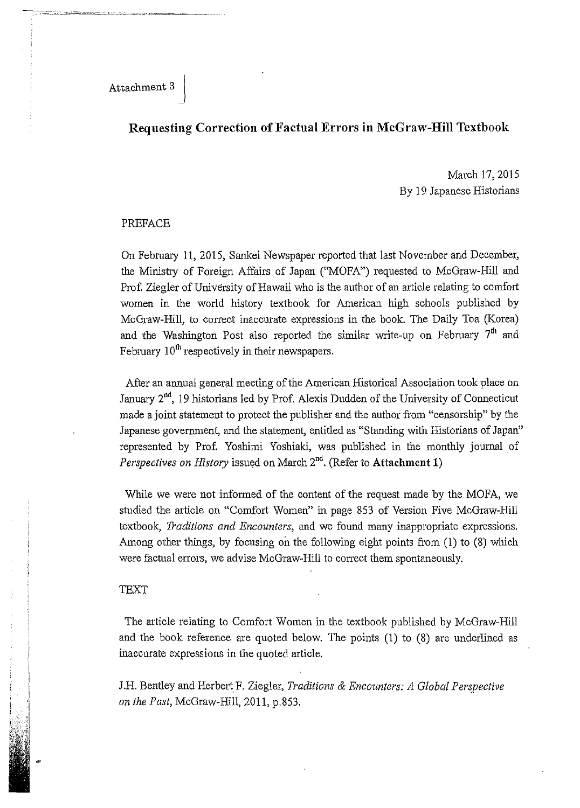Attachment 3

## Requesting Correction of Factual Errors in McGraw-Hill Textbook

March 17, 2015 By 19 Japanese Historians

### PREFACE

On February 11, 2015, Sankei Newspaper reported that last November and December, the Ministry of Foreign Affairs of Japan ("MOFA") requested to McGraw-Hill and Prof. Ziegler of University of Hawaii who is the author of an article relating to comfort women in the world history textbook for American high schools published by McGraw-Hill, to correct inaccurate expressions in the book. The Daily Toa (Korea) and the Washington Post also reported the similar write-up on February 7<sup>th</sup> and February  $10^{th}$  respectively in their newspapers.

After an annual general meeting of the American Historical Association took place on January 2<sup>nd</sup>, 19 historians led by Prof. Alexis Dudden of the University of Connecticut made a joint statement to protect the publisher and the author from "censorship" by the Japanese government, and the statement, entitled as "Standing with Historians of Japan" represented by Prof. Yoshimi Yoshiaki, was published in the monthly journal of Perspectives on History issued on March 2<sup>nd</sup>. (Refer to Attachment 1)

While we were not informed of the content of the request made by the MOFA, we studied the article on "Comfort Women" in page 853 of Version Five McGraw-Hill textbook, Traditions and Encounters, and we found many inappropriate expressions. Among other things, by focusing on the following eight points from (1) to (8) which were factual errors, we advise McGraw-Hill to correct them spontaneously.

### **TEXT**

The article relating to Comfort Women in the textbook published by McGraw-Hill and the book reference are quoted below. The points (1) to (8) are underlined as inaccurate expressions in the quoted article.

J.H. Bentley and Herbert F. Ziegler, Traditions & Encounters: A Global Perspective on the Past, McGraw-Hill, 2011, p.853.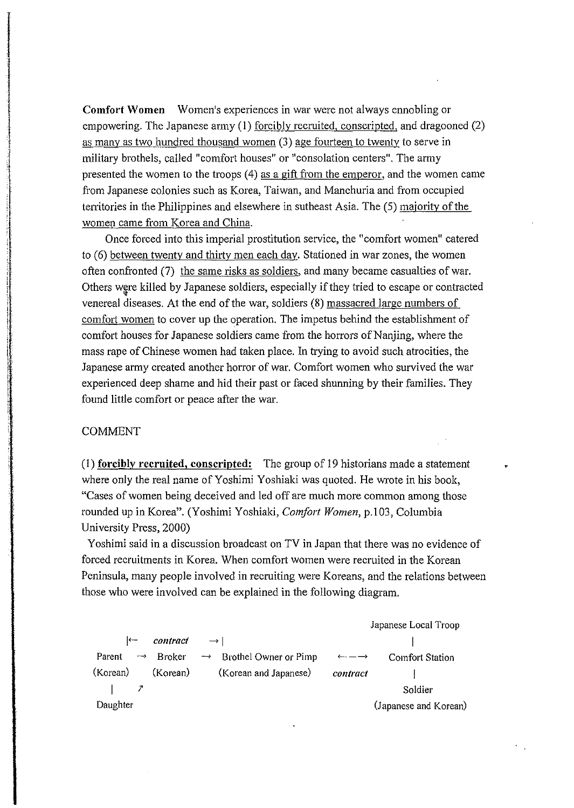**Comfort Women** Women's experiences in war were not always ennobling or empowering. The Japanese army (1) <u>forcibly recruited</u>, conscripted, and dragooned (2) as many as two hundred thousand women (3) age fourteen to twenty to serve in military brothels, called "comfort houses" or "consolation centers". The army presented the women to the troops (4) as a gift from the emperor, and the women came from Japanese colonies such as Korea, Taiwan, and Manchuria and from occupied territories in the Philippines and elsewhere in sutheast Asia. The (5) majority of the women came from Korea and China.

Once forced into this imperial prostitution service, the "comfort women" catered to (6) between twenty and thirty men each day. Stationed in war zones, the women often confronted (7) the same risks as soldiers, and many became casualties of war. Others were killed by Japanese soldiers, especially if they tried to escape or contracted venereal diseases. At the end of the war, soldiers (8) massacred large numbers of comfort women to cover up the operation. The impetus behind the establishment of comfort houses for Japanese soldiers came from the horrors of Nanjing, where the mass rape of Chinese women had taken place. In trying to avoid such atrocities, the Japanese army created another horror of war. Comfort women who survived the war experienced deep shame and hid their past or faced shunning by their families. They found little comfort or peace after the war.

#### **COMMENT**

(1) forcibly recruited, conscripted: The group of 19 historians made a statement where only the real name of Yoshimi Yoshiaki was quoted. He wrote in his book, "Cases of women being deceived and led off are much more common among those rounded up in Korea". (Yoshimi Yoshiaki, Comfort Women, p.103, Columbia University Press, 2000)

Yoshimi said in a discussion broadcast on TV in Japan that there was no evidence of forced recruitments in Korea. When comfort women were recruited in the Korean Peninsula, many people involved in recruiting were Koreans, and the relations between those who were involved can be explained in the following diagram.

Japanese Local Troop contract Parent **Broker** Brothel Owner or Pimp **Comfort Station**  $\longrightarrow$ (Korean) (Korean) (Korean and Japanese) contract İ  $\mathbf{I}$  $\mathcal{I}$ Soldier Daughter (Japanese and Korean)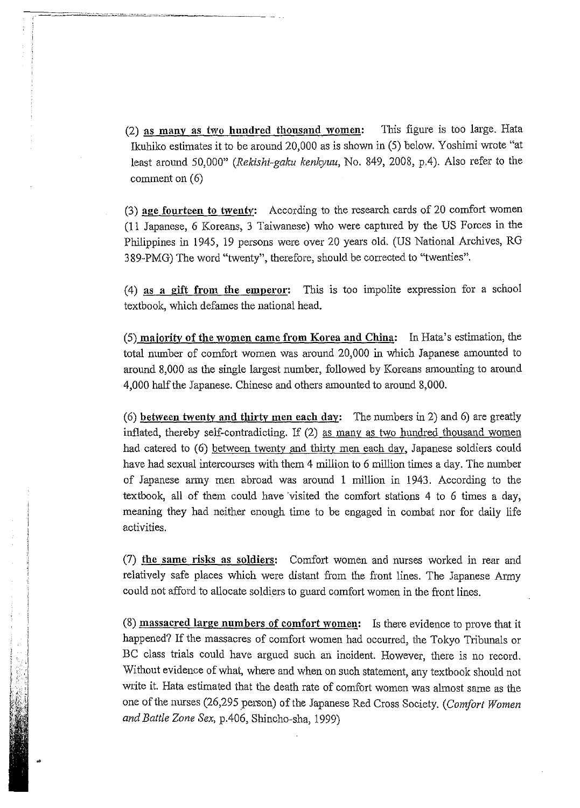This figure is too large. Hata (2) as many as two hundred thousand women: Ikuhiko estimates it to be around 20,000 as is shown in (5) below. Yoshimi wrote "at least around 50,000" (Rekishi-gaku kenkyuu, No. 849, 2008, p.4). Also refer to the comment on  $(6)$ 

(3) age fourteen to twenty: According to the research cards of 20 comfort women (11 Japanese, 6 Koreans, 3 Taiwanese) who were captured by the US Forces in the Philippines in 1945, 19 persons were over 20 years old. (US National Archives, RG 389-PMG) The word "twenty", therefore, should be corrected to "twenties".

(4) as a gift from the emperor: This is too impolite expression for a school textbook, which defames the national head.

(5) majority of the women came from Korea and China: In Hata's estimation, the total number of comfort women was around 20,000 in which Japanese amounted to around 8,000 as the single largest number, followed by Koreans amounting to around 4,000 half the Japanese. Chinese and others amounted to around 8,000.

(6) between twenty and thirty men each day: The numbers in 2) and 6) are greatly inflated, thereby self-contradicting. If (2) as many as two hundred thousand women had catered to (6) between twenty and thirty men each day, Japanese soldiers could have had sexual intercourses with them 4 million to 6 million times a day. The number of Japanese army men abroad was around 1 million in 1943. According to the textbook, all of them could have visited the comfort stations 4 to 6 times a day, meaning they had neither enough time to be engaged in combat nor for daily life activities.

(7) the same risks as soldiers: Comfort women and nurses worked in rear and relatively safe places which were distant from the front lines. The Japanese Army could not afford to allocate soldiers to guard comfort women in the front lines.

(8) massacred large numbers of comfort women: Is there evidence to prove that it happened? If the massacres of comfort women had occurred, the Tokyo Tribunals or BC class trials could have argued such an incident. However, there is no record. Without evidence of what, where and when on such statement, any textbook should not write it. Hata estimated that the death rate of comfort women was almost same as the one of the nurses (26,295 person) of the Japanese Red Cross Society. (Comfort Women and Battle Zone Sex, p.406, Shincho-sha, 1999)